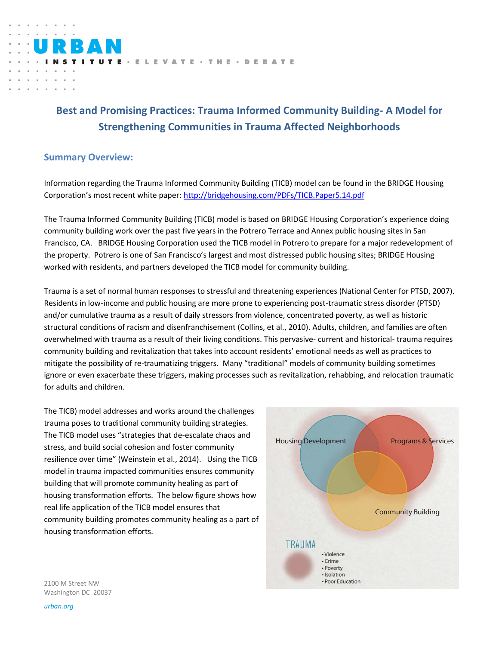

# **Best and Promising Practices: Trauma Informed Community Building- A Model for Strengthening Communities in Trauma Affected Neighborhoods**

## **Summary Overview:**

Information regarding the Trauma Informed Community Building (TICB) model can be found in the BRIDGE Housing Corporation's most recent white paper: <http://bridgehousing.com/PDFs/TICB.Paper5.14.pdf>

The Trauma Informed Community Building (TICB) model is based on BRIDGE Housing Corporation's experience doing community building work over the past five years in the Potrero Terrace and Annex public housing sites in San Francisco, CA. BRIDGE Housing Corporation used the TICB model in Potrero to prepare for a major redevelopment of the property. Potrero is one of San Francisco's largest and most distressed public housing sites; BRIDGE Housing worked with residents, and partners developed the TICB model for community building.

Trauma is a set of normal human responses to stressful and threatening experiences (National Center for PTSD, 2007). Residents in low-income and public housing are more prone to experiencing post-traumatic stress disorder (PTSD) and/or cumulative trauma as a result of daily stressors from violence, concentrated poverty, as well as historic structural conditions of racism and disenfranchisement (Collins, et al., 2010). Adults, children, and families are often overwhelmed with trauma as a result of their living conditions. This pervasive- current and historical- trauma requires community building and revitalization that takes into account residents' emotional needs as well as practices to mitigate the possibility of re-traumatizing triggers. Many "traditional" models of community building sometimes ignore or even exacerbate these triggers, making processes such as revitalization, rehabbing, and relocation traumatic for adults and children.

The TICB) model addresses and works around the challenges trauma poses to traditional community building strategies. The TICB model uses "strategies that de-escalate chaos and stress, and build social cohesion and foster community resilience over time" (Weinstein et al., 2014). Using the TICB model in trauma impacted communities ensures community building that will promote community healing as part of housing transformation efforts. The below figure shows how real life application of the TICB model ensures that community building promotes community healing as a part of housing transformation efforts.



2100 M Street NW Washington DC 20037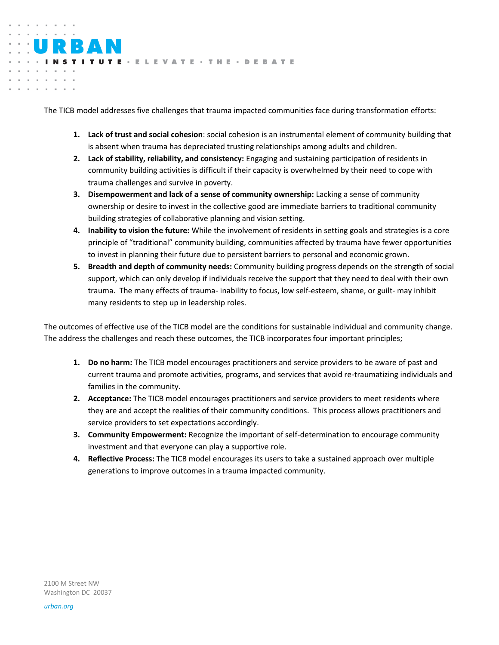The TICB model addresses five challenges that trauma impacted communities face during transformation efforts:

TUTE - ELEVATE - THE - DEBATE

- **1. Lack of trust and social cohesion**: social cohesion is an instrumental element of community building that is absent when trauma has depreciated trusting relationships among adults and children.
- **2. Lack of stability, reliability, and consistency:** Engaging and sustaining participation of residents in community building activities is difficult if their capacity is overwhelmed by their need to cope with trauma challenges and survive in poverty.
- **3. Disempowerment and lack of a sense of community ownership:** Lacking a sense of community ownership or desire to invest in the collective good are immediate barriers to traditional community building strategies of collaborative planning and vision setting.
- **4. Inability to vision the future:** While the involvement of residents in setting goals and strategies is a core principle of "traditional" community building, communities affected by trauma have fewer opportunities to invest in planning their future due to persistent barriers to personal and economic grown.
- **5. Breadth and depth of community needs:** Community building progress depends on the strength of social support, which can only develop if individuals receive the support that they need to deal with their own trauma. The many effects of trauma- inability to focus, low self-esteem, shame, or guilt- may inhibit many residents to step up in leadership roles.

The outcomes of effective use of the TICB model are the conditions for sustainable individual and community change. The address the challenges and reach these outcomes, the TICB incorporates four important principles;

- **1. Do no harm:** The TICB model encourages practitioners and service providers to be aware of past and current trauma and promote activities, programs, and services that avoid re-traumatizing individuals and families in the community.
- **2. Acceptance:** The TICB model encourages practitioners and service providers to meet residents where they are and accept the realities of their community conditions. This process allows practitioners and service providers to set expectations accordingly.
- **3. Community Empowerment:** Recognize the important of self-determination to encourage community investment and that everyone can play a supportive role.
- **4. Reflective Process:** The TICB model encourages its users to take a sustained approach over multiple generations to improve outcomes in a trauma impacted community.

2100 M Street NW Washington DC 20037

RAI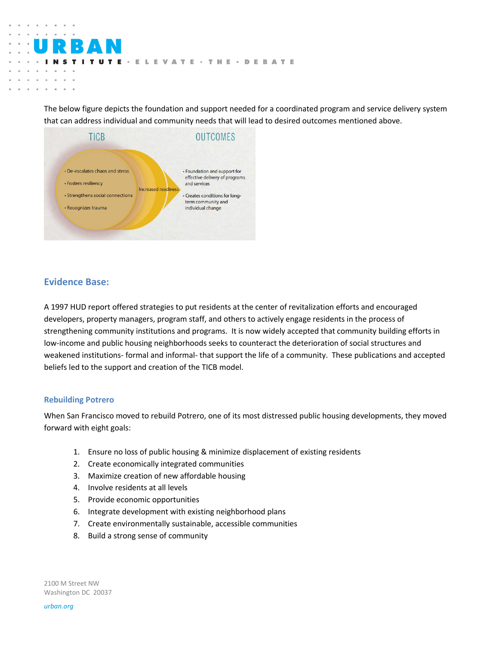The below figure depicts the foundation and support needed for a coordinated program and service delivery system that can address individual and community needs that will lead to desired outcomes mentioned above.

TE · ELEVATE · THE · DEBATE



## **Evidence Base:**

i,

A 1997 HUD report offered strategies to put residents at the center of revitalization efforts and encouraged developers, property managers, program staff, and others to actively engage residents in the process of strengthening community institutions and programs. It is now widely accepted that community building efforts in low-income and public housing neighborhoods seeks to counteract the deterioration of social structures and weakened institutions- formal and informal- that support the life of a community. These publications and accepted beliefs led to the support and creation of the TICB model.

#### **Rebuilding Potrero**

When San Francisco moved to rebuild Potrero, one of its most distressed public housing developments, they moved forward with eight goals:

- 1. Ensure no loss of public housing & minimize displacement of existing residents
- 2. Create economically integrated communities
- 3. Maximize creation of new affordable housing
- 4. Involve residents at all levels
- 5. Provide economic opportunities
- 6. Integrate development with existing neighborhood plans
- 7. Create environmentally sustainable, accessible communities
- 8. Build a strong sense of community

2100 M Street NW Washington DC 20037